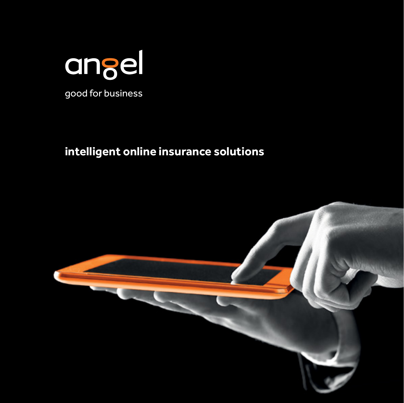

## **intelligent online insurance solutions**

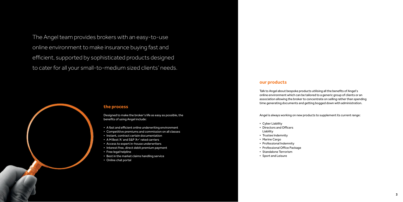

The Angel team provides brokers with an easy-to-use online environment to make insurance buying fast and efficient, supported by sophisticated products designed to cater for all your small-to-medium sized clients' needs.

#### **the process**

Designed to make the broker's life as easy as possible, the benefits of using Angel include:

- A fast and efficient online underwriting environment
- Competitive premiums and commission on all classes
- Instant, contract certain documentation
- A M Best 'A' and S&P 'A+' rated carriers
- Access to expert in-house underwriters
- Interest free, direct debit premium payment
- Free legal helpline
- Best in the market claims handling service
- Online chat portal

#### **our products**

Talk to Angel about bespoke products utilising all the benefits of Angel's online environment which can be tailored to a generic group of clients or an association allowing the broker to concentrate on selling rather than spending time generating documents and getting bogged down with administration.

Angel is always working on new products to supplement its current range:

- Cyber Liability
- Directors and Officers Liability
- Trustee Indemnity
- Marine Cargo
- Professional Indemnity
- Professional Office Package
- Standalone Terrorism
- Sport and Leisure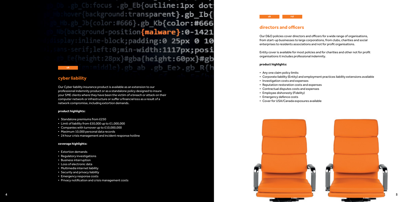

Db .gb Cb:focus .gb Eb{outline:1px dot hover{background:transparent}.gb Ib{ Hb.gb\_Jb{color:#666}.gb Kb{color:#666 Nb{background-position{malware}:0-1421 isplay: inline-block; padding:0 25px 0 10 ans-serif; left: 0; min-width: 1117px; posi e{height:28px}#gba{height:60px}#gb an:middle}.gb ab .gb Ee>.gb R{h uk a s

#### **cyber liability**

Our Cyber liability insurance product is available as an extension to our professional indemnity product or as a standalone policy designed to insure your SME clients where they have been the victim of a breach or attack on their computer network or infrastructure or suffer a financial loss as a result of a network compromise, including extortion demands.

#### **product highlights:**

- Standalone premiums from £250
- Limit of liability from £50,000 up to £1,000,000
- Companies with turnover up to £10,000,000
- Maximum 10,000 personal data records
- 24 hour crisis management and incident response hotline

#### **coverage highlights:**

- Extortion demands
- Regulatory investigations
- Business interruption
- Loss of electronic data
- Multimedia internet liability
- Security and privacy liability
- Emergency response costs
- Privacy notification and crisis management costs

### **directors and officers**

Our D&O policies cover directors and officers for a wide range of organisations, from start-up businesses to large corporations, from clubs, charities and social enterprises to residents associations and not for profit organisations.

Entity cover is available for most policies and for charities and other not for profit organisations it includes professional indemnity.

#### **product highlights:**

• Corporate liability (Entity) and employment practices liability extensions available

- Any one claim policy limits
- 
- Investigation costs and expenses
- Reputation restoration costs and expenses
- Contractual disputes costs and expenses
- Employee dishonesty (Fidelity)
- Emergency defence costs
- Cover for USA/Canada exposures available

uk roi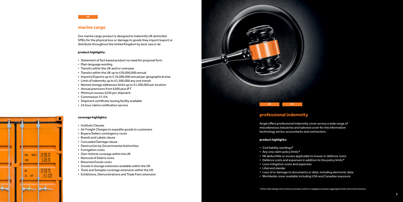#### **professional indemnity**

Angel offers professional indemnity cover across a wide range of miscellaneous industries and tailored cover for the information technology sector, accountants and contractors.

#### **product highlights:**

- Civil liability wordings\*
- Any one claim policy limits\*
- Nil deductible or excess applicable to losses or defence costs
- Defence costs and expenses in addition to the policy limits\*
- Loss mitigation costs and expenses
- Libel and slander
- 
- 



• Loss of or damage to documents or data, including electronic data • Worldwide cover available including USA and Canadian exposure

\*other than design and construct product which is negligence based, aggregate limits and costs inclusive.



#### **marine cargo**

Our marine cargo product is designed to indemnify UK domiciled SMEs for the physical loss or damage to goods they import/export or distribute throughout the United Kingdom by land, sea or air.

#### **product highlights:**

- Statement of fact based product no need for proposal form
- Plain language wording
- Transits within the UK and/or overseas
- Transits within the UK up to £30,000,000 annual
- Imports/Exports up to £ 10,000,000 annual per geographical area
- Limit of indemnity up to £1,500,000 any one transit
- Named storage addresses limits up to £1,500,000 per location
- Annual premiums from £500 plus IPT
- Minimum excess £250 per shipment
- Commission 27.5%
- Shipment certificate issuing facility available
- 24 hour claims notification service

#### **coverage highlights:**

- Institute Clauses
- Air Freight Charges to expedite goods to customers
- Buyers/Sellers contingency cover
- Brands and Labels clause
- Concealed Damage clause
- Destruction by Governmental Authorities
- Fumigation costs
- Own Vehicle coverage within the UK
- Removal of Debris costs
- Returned Goods costs
- Goods in storage extension available within the UK
- Tools and Samples coverage extension within the UK
- Exhibitions, Demonstrations and Trade Fairs extension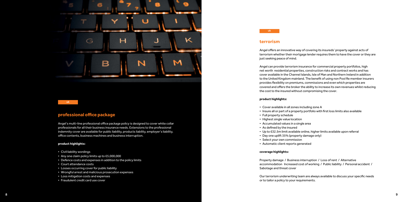#### **terrorism**

Angel offers an innovative way of covering its insureds' property against acts of terrorism whether their mortgage lender requires them to have the cover or they are just seeking peace of mind.

Angel can provide terrorism insurance for commercial property portfolios, high net worth residential properties, construction risks and contract works and has cover available in the Channel Islands, Isle of Man and Northern Ireland in addition to the United Kingdom mainland. The benefit of using non Pool Re member insurers provides flexibility on premiums, commissions and even which properties are covered and offers the broker the ability to increase its own revenues whilst reducing the cost to the insured without compromising the cover.

#### **product highlights:**

• Insure all or part of a property portfolio with first loss limits also available

- Cover available in all zones including zone A
- 
- Full property schedule
- Highest single value location
- Accumulated values in a single area
- As defined by the insured
- 
- Day one uplift 35% (property damage only)
- Select your own commission
- Automatic client reports generated

• Up to £32.5m limit available online, higher limits available upon referral

#### **coverage highlights:**

Property damage / Business interruption / Loss of rent / Alternative accommodation Increased cost of working / Public liability / Personal accident / Sabotage and threat cover

Our terrorism underwriting team are always available to discuss your specific needs or to tailor a policy to your requirements.



#### **professional office package**

Angel's multi-line professional office package policy is designed to cover white collar professionals for all their business insurance needs. Extensions to the professional indemnity cover are available for public liability, products liability, employer's liability, office contents, business machines and business interruption.

#### **product highlights:**

- Civil liability wordings
- Any one claim policy limits up to £5,000,000
- Defence costs and expenses in addition to the policy limits
- Court attendance costs
- Losses occurring cover for public liability
- Wrongful arrest and malicious prosecution expenses
- Loss mitigation costs and expenses
- Fraudulent credit card use cover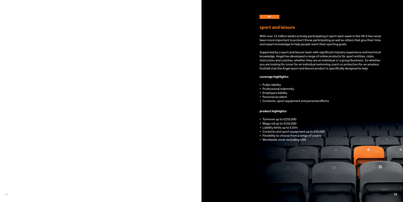#### **sport and leisure**

With over 15 million adults actively participating in sport each week in the UK it has never been more important to protect those participating as well as others that give their time and expert knowledge to help people reach their sporting goals.

Supported by a sport and leisure team with significant industry experience and technical knowledge, Angel has developed a range of online products for sport entities, clubs, instructors and coaches, whether they are an individual or a group/business. So whether you are looking for cover for an individual swimming coach or protection for an amateur football club the Angel sport and leisure product is specifically designed to help.

۰

o

۰

#### **coverage highlights:**

- Public liability
- Professional indemnity
- Employers liability
- Personal accident
- Contents, sport equipment and personal effects

#### **product highlights:**

- Turnover up to £250,000
- Wage roll up to £250,000
- Liability limits up to £10m
- Contents and sport equipment up to £50,000
- Flexibility to choose from a range of covers
- Worldwide cover excluding USA